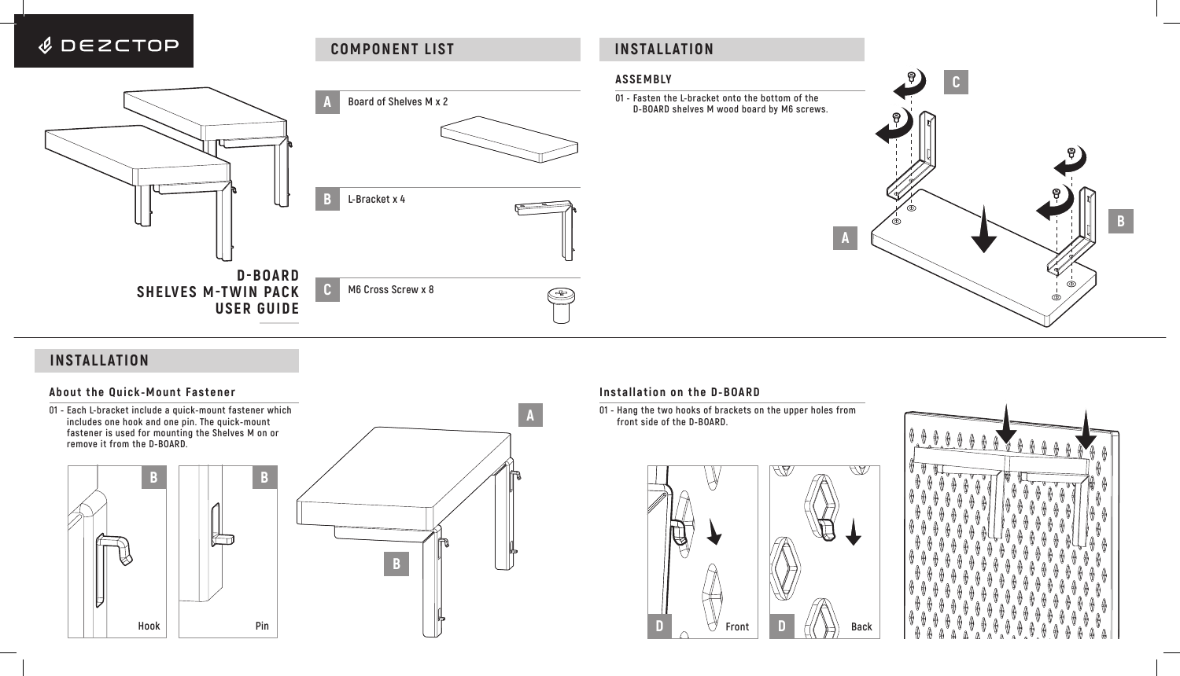

# **INSTALLATION**

# **About the Quick-Mount Fastener**

**01 - Each L-bracket include a quick-mount fastener which includes one hook and one pin. The quick-mount fastener is used for mounting the Shelves M on or remove it from the D-BOARD.**





## **Installation on the D-BOARD**

**01 - Hang the two hooks of brackets on the upper holes from front side of the D-BOARD.**